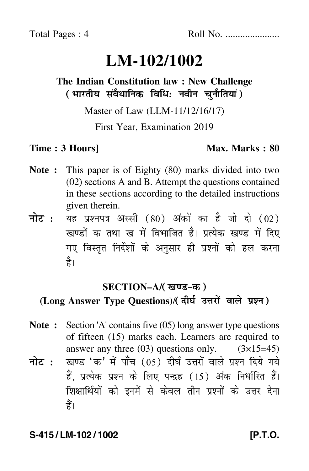# **LM-102/1002**

### **The Indian Constitution law : New Challenge** ( भारतीय संवैधानिक विधि: नवीन चुनौतियां )

Master of Law (LLM-11/12/16/17)

First Year, Examination 2019

#### **Time : 3 Hours]** Max. Marks : 80

- **Note :** This paper is of Eighty (80) marks divided into two (02) sections A and B. Attempt the questions contained in these sections according to the detailed instructions given therein.
- नोट : यह प्रश्नपत्र अस्सी (80) अंकों का है जो दो (02) खण्डों क तथा ख में विभाजित है। प्रत्येक खण्ड में दिए गए विस्तृत निर्देशों के अनुसार ही प्रश्नों को हल करन<mark>ा</mark> है।

#### **SECTION–A/**

### (Long Answer Type Questions)/( दीर्घ उत्तरों वाले प्रश्न )

- **Note :** Section 'A' contains five (05) long answer type questions of fifteen (15) marks each. Learners are required to answer any three  $(03)$  questions only.  $(3\times15=45)$ नोट : खण्ड 'क' में पाँच (05) दीर्घ उत्तरों वाले प्रश्न दिये गये हैं, प्रत्येक प्रश्न के लिए पन्द्रह (15) अंक निर्धारित हैं।
	- शिक्षार्थियों को इनमें से केवल तीन प्रश्नों के उत्तर देना हैं।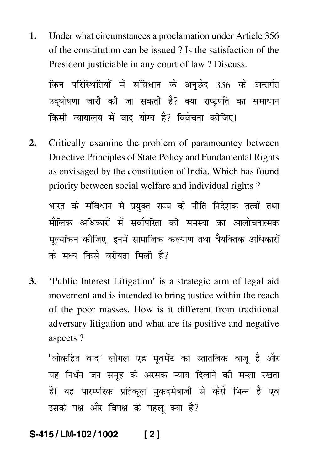Under what circumstances a proclamation under Article 356 1. of the constitution can be issued? Is the satisfaction of the President justiciable in any court of law ? Discuss.

किन परिस्थितियों में संविधान के अनुछेद 356 के अन्तर्गत उद्घोषणा जारी की जा सकती है? क्या राष्ट्रपति का समाधान किसी न्यायालय में वाद योग्य है? विवेचना कीजिए।

Critically examine the problem of paramountcy between  $2.$ Directive Principles of State Policy and Fundamental Rights as envisaged by the constitution of India. Which has found priority between social welfare and individual rights?

भारत के संविधान में प्रयुक्त राज्य के नीति निदेशक तत्वों तथा मौलिक अधिकारों में सर्वापरिता की समस्या का आलोचनात्मक मल्यांकन कीजिए। इनमें सामाजिक कल्याण तथा वैयक्तिक अधिकारों के मध्य किसे वरीयता मिली है?

3. 'Public Interest Litigation' is a strategic arm of legal aid movement and is intended to bring justice within the reach of the poor masses. How is it different from traditional adversary litigation and what are its positive and negative aspects?

'लोकहित वाद' लीगल एड मूवमेंट का स्तातजिक वाजू है और यह निर्धन जन समूह के अरसक न्याय दिलाने की मन्शा रखता है। यह पारम्परिक प्रतिकूल मुकदमेबाजी से कैसे भिन्न है एवं इसके पक्ष और विपक्ष के पहलू क्या है?

#### S-415/LM-102/1002  $121$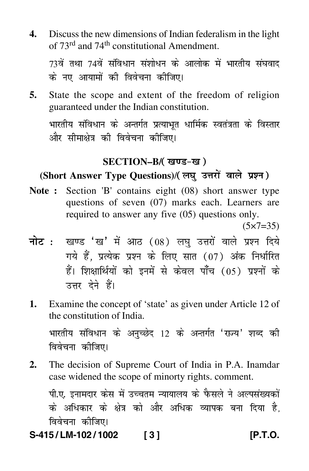**4.** Discuss the new dimensions of Indian federalism in the light of 73<sup>rd</sup> and 74<sup>th</sup> constitutional Amendment.

73वें तथा 74वें संविधान संशोधन के आलोक में भारतीय संघवाद के नए आयामों की विवेचना कीजिए।

**5.** State the scope and extent of the freedom of religion guaranteed under the Indian constitution.

भारतीय संविधान के अन्तर्गत प्रत्याभूत धार्मिक स्वतंत्रता के विस्तार और सीमाक्षेत्र की विवेचना कीजिए।

#### **SECTION–B/**

## (Short Answer Type Questions)/( लघु उत्तरों वाले प्रश्न )

**Note :** Section 'B' contains eight (08) short answer type questions of seven (07) marks each. Learners are required to answer any five (05) questions only.

 $(5 \times 7 = 35)$ 

- <mark>नोट</mark> : खण्ड 'ख' में आठ (08) लघु उत्तरों वाले प्रश्न दिये गये हैं, प्रत्येक प्रश्न के लिए सात (07) अंक निर्धारित हैं। शिक्षार्थियों को इनमें से केवल पाँच (05) प्रश्नों के उत्तर देने हैं।
- **1.** Examine the concept of 'state' as given under Article 12 of the constitution of India.

भारतीय संविधान के अनुच्छेद 12 के अन्तर्गत 'राज्य' शब्द की विवेचना क<mark>ी</mark>जिए।

**2.** The decision of Supreme Court of India in P.A. Inamdar case widened the scope of minorty rights. comment.

पी.ए. इनामदार केस में उच्चतम न्यायालय के फैसले ने अल्पसंख्यकों के अधिकार के क्षेत्र को और अधिक व्यापक बना दिया है, विवेचना कीजिए।

**S-415 / LM-102 / 1002 [ 3 ] [P.T.O.**